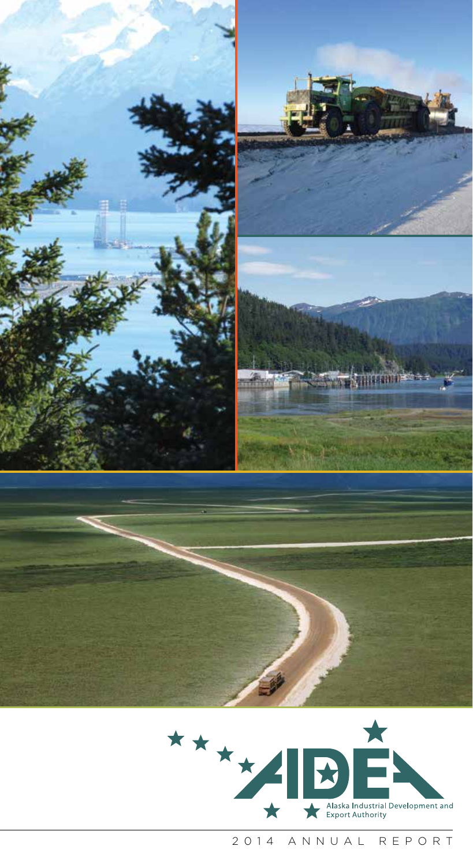



2014 ANNUAL REPORT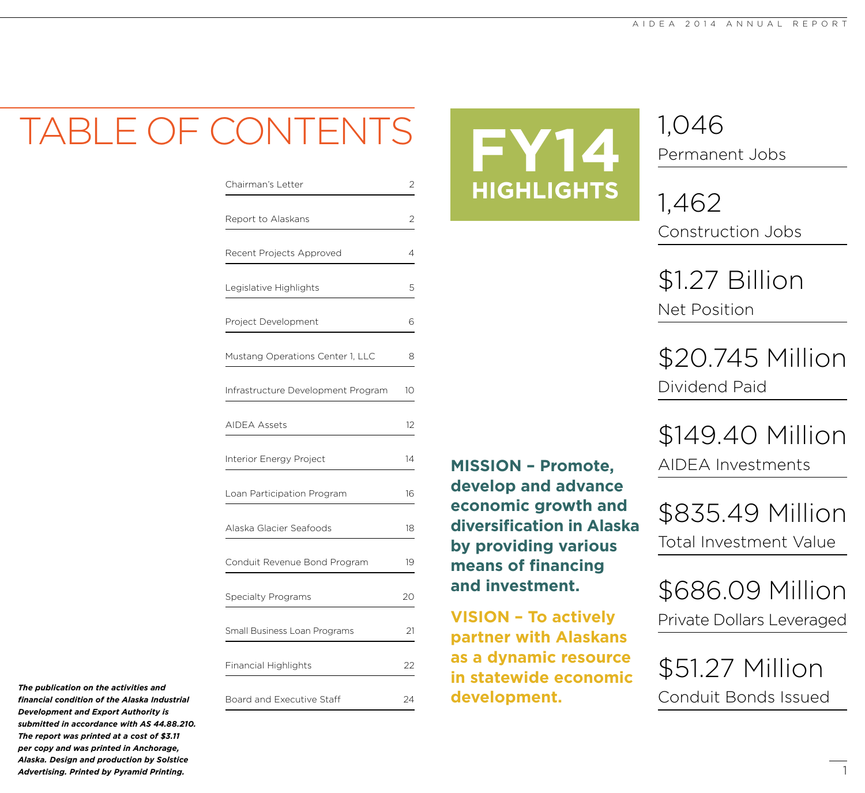### $-$  ( `ONI

| Chairman's Letter                  | 2       |
|------------------------------------|---------|
| Report to Alaskans                 | 2       |
| Recent Projects Approved           | 4       |
| Legislative Highlights             | 5       |
| Project Development                | 6       |
| Mustang Operations Center 1, LLC   | 8       |
| Infrastructure Development Program | 10      |
| AIDEA Assets                       | $12 \,$ |
| <b>Interior Energy Project</b>     | 14      |
| Loan Participation Program         | 16      |
| Alaska Glacier Seafoods            | 18      |
| Conduit Revenue Bond Program       | 19      |
| Specialty Programs                 | 20      |
| Small Business Loan Programs       | 21      |
| <b>Financial Highlights</b>        | 22      |
| Board and Executive Staff          | 24      |



**VISION – To actively** 

**MISSION – Promote,** 

**develop and advance economic growth and** 

**by providing various** 

**means of financing** 

**and investment.**

**diversification in Alaska** 

**partner with Alaskans** 

**as a dynamic resource in statewide economic** 

**development.**

1,046 Permanent Jobs

1,462 Construction Jobs

\$1.27 Billion Net Position

\$20.745 Million Dividend Paid

\$149.40 Million AIDEA Investments

\$835.49 Million Total Investment Value

\$686.09 Million Private Dollars Leveraged

\$51.27 Million Conduit Bonds Issued

*The publication on the activities and financial condition of the Alaska Industrial Development and Export Authority is submitted in accordance with AS 44.88.210. The report was printed at a cost of \$3.11 per copy and was printed in Anchorage, Alaska. Design and production by Solstice Advertising. Printed by Pyramid Printing.*

1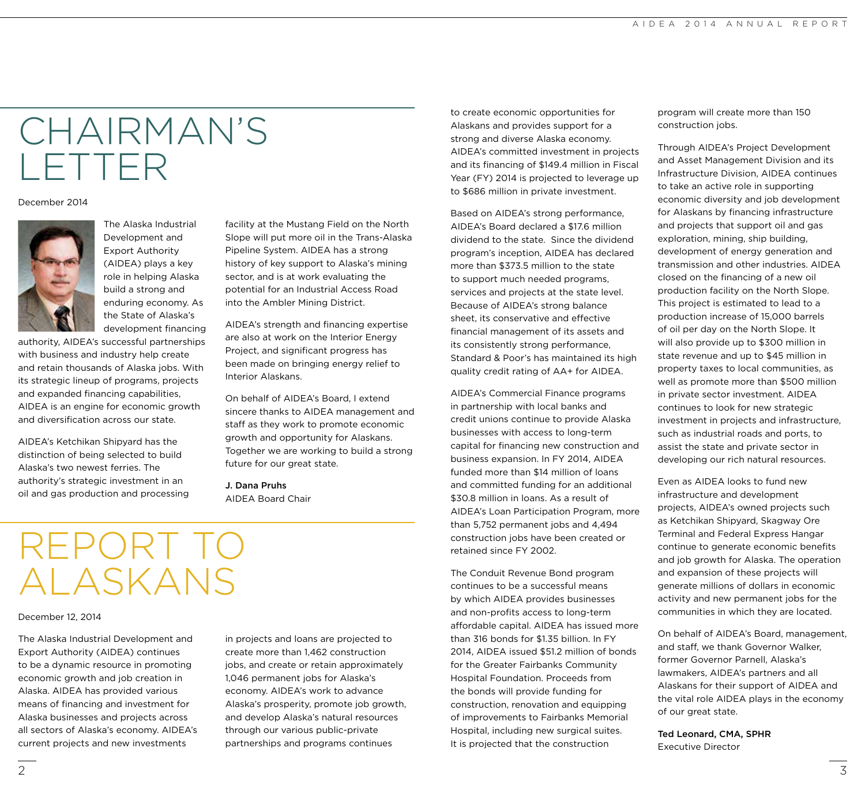### CHAIRMAN'S LETTER

#### December 2014



The Alaska Industrial Development and Export Authority (AIDEA) plays a key role in helping Alaska build a strong and enduring economy. As the State of Alaska's development financing

authority, AIDEA's successful partnerships with business and industry help create and retain thousands of Alaska jobs. With its strategic lineup of programs, projects and expanded financing capabilities, AIDEA is an engine for economic growth and diversification across our state.

AIDEA's Ketchikan Shipyard has the distinction of being selected to build Alaska's two newest ferries. The authority's strategic investment in an oil and gas production and processing facility at the Mustang Field on the North Slope will put more oil in the Trans-Alaska Pipeline System. AIDEA has a strong history of key support to Alaska's mining sector, and is at work evaluating the potential for an Industrial Access Road into the Ambler Mining District.

AIDEA's strength and financing expertise are also at work on the Interior Energy Project, and significant progress has been made on bringing energy relief to Interior Alaskans.

On behalf of AIDEA's Board, I extend sincere thanks to AIDEA management and staff as they work to promote economic growth and opportunity for Alaskans. Together we are working to build a strong future for our great state.

J. Dana Pruhs AIDEA Board Chair

## REPORT TO ALASKANS

#### December 12, 2014

The Alaska Industrial Development and Export Authority (AIDEA) continues to be a dynamic resource in promoting economic growth and job creation in Alaska. AIDEA has provided various means of financing and investment for Alaska businesses and projects across all sectors of Alaska's economy. AIDEA's current projects and new investments

in projects and loans are projected to create more than 1,462 construction jobs, and create or retain approximately 1,046 permanent jobs for Alaska's economy. AIDEA's work to advance Alaska's prosperity, promote job growth, and develop Alaska's natural resources through our various public-private partnerships and programs continues

to create economic opportunities for Alaskans and provides support for a strong and diverse Alaska economy. AIDEA's committed investment in projects and its financing of \$149.4 million in Fiscal Year (FY) 2014 is projected to leverage up to \$686 million in private investment.

Based on AIDEA's strong performance, AIDEA's Board declared a \$17.6 million dividend to the state. Since the dividend program's inception, AIDEA has declared more than \$373.5 million to the state to support much needed programs, services and projects at the state level. Because of AIDEA's strong balance sheet, its conservative and effective financial management of its assets and its consistently strong performance, Standard & Poor's has maintained its high quality credit rating of AA+ for AIDEA.

AIDEA's Commercial Finance programs in partnership with local banks and credit unions continue to provide Alaska businesses with access to long-term capital for financing new construction and business expansion. In FY 2014, AIDEA funded more than \$14 million of loans and committed funding for an additional \$30.8 million in loans. As a result of AIDEA's Loan Participation Program, more than 5,752 permanent jobs and 4,494 construction jobs have been created or retained since FY 2002.

The Conduit Revenue Bond program continues to be a successful means by which AIDEA provides businesses and non-profits access to long-term affordable capital. AIDEA has issued more than 316 bonds for \$1.35 billion. In FY 2014, AIDEA issued \$51.2 million of bonds for the Greater Fairbanks Community Hospital Foundation. Proceeds from the bonds will provide funding for construction, renovation and equipping of improvements to Fairbanks Memorial Hospital, including new surgical suites. It is projected that the construction

program will create more than 150 construction jobs.

Through AIDEA's Project Development and Asset Management Division and its Infrastructure Division, AIDEA continues to take an active role in supporting economic diversity and job development for Alaskans by financing infrastructure and projects that support oil and gas exploration, mining, ship building, development of energy generation and transmission and other industries. AIDEA closed on the financing of a new oil production facility on the North Slope. This project is estimated to lead to a production increase of 15,000 barrels of oil per day on the North Slope. It will also provide up to \$300 million in state revenue and up to \$45 million in property taxes to local communities, as well as promote more than \$500 million in private sector investment. AIDEA continues to look for new strategic investment in projects and infrastructure, such as industrial roads and ports, to assist the state and private sector in developing our rich natural resources.

Even as AIDEA looks to fund new infrastructure and development projects, AIDEA's owned projects such as Ketchikan Shipyard, Skagway Ore Terminal and Federal Express Hangar continue to generate economic benefits and job growth for Alaska. The operation and expansion of these projects will generate millions of dollars in economic activity and new permanent jobs for the communities in which they are located.

On behalf of AIDEA's Board, management, and staff, we thank Governor Walker, former Governor Parnell, Alaska's lawmakers, AIDEA's partners and all Alaskans for their support of AIDEA and the vital role AIDEA plays in the economy of our great state.

Ted Leonard, CMA, SPHR Executive Director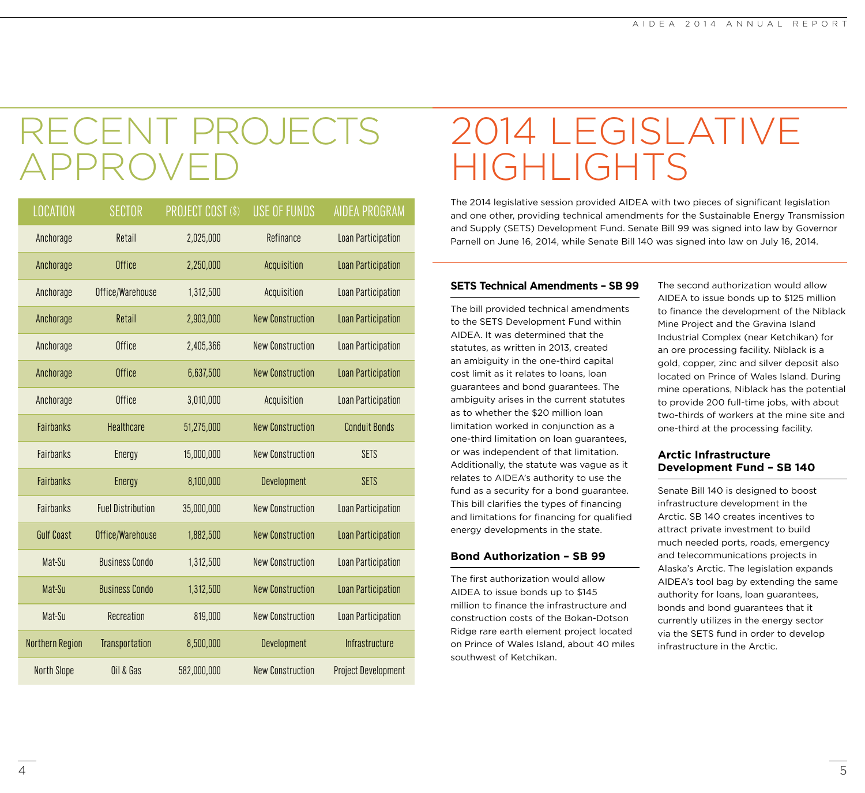### RECENT PROJECT APPROVEI

| <b>LOCATION</b>    | <b>SECTOR</b>            | PROJECT COST (\$) | <b>USE OF FUNDS</b>     | <b>AIDEA PROGRAM</b>       |
|--------------------|--------------------------|-------------------|-------------------------|----------------------------|
| Anchorage          | Retail                   | 2,025,000         | Refinance               | Loan Participation         |
| Anchorage          | <b>Office</b>            | 2,250,000         | Acquisition             | Loan Participation         |
| Anchorage          | Office/Warehouse         | 1,312,500         | Acquisition             | Loan Participation         |
| Anchorage          | Retail                   | 2,903,000         | <b>New Construction</b> | <b>Loan Participation</b>  |
| Anchorage          | <b>Office</b>            | 2,405,366         | <b>New Construction</b> | Loan Participation         |
| Anchorage          | Office                   | 6,637,500         | <b>New Construction</b> | Loan Participation         |
| Anchorage          | Office                   | 3,010,000         | Acquisition             | Loan Participation         |
| <b>Fairbanks</b>   | <b>Healthcare</b>        | 51,275,000        | <b>New Construction</b> | <b>Conduit Bonds</b>       |
| Fairbanks          | <b>Energy</b>            | 15,000,000        | <b>New Construction</b> | <b>SETS</b>                |
| <b>Fairbanks</b>   | <b>Energy</b>            | 8,100,000         | Development             | <b>SETS</b>                |
| Fairbanks          | <b>Fuel Distribution</b> | 35,000,000        | <b>New Construction</b> | Loan Participation         |
| <b>Gulf Coast</b>  | Office/Warehouse         | 1,882,500         | <b>New Construction</b> | Loan Participation         |
| Mat-Su             | <b>Business Condo</b>    | 1,312,500         | <b>New Construction</b> | Loan Participation         |
| Mat-Su             | <b>Business Condo</b>    | 1,312,500         | <b>New Construction</b> | Loan Participation         |
| Mat-Su             | Recreation               | 819,000           | <b>New Construction</b> | Loan Participation         |
| Northern Region    | Transportation           | 8,500,000         | Development             | Infrastructure             |
| <b>North Slope</b> | Oil & Gas                | 582,000,000       | <b>New Construction</b> | <b>Project Development</b> |

### 2014 LEGISLATIVE HIGHLIGHTS

The 2014 legislative session provided AIDEA with two pieces of significant legislation and one other, providing technical amendments for the Sustainable Energy Transmission and Supply (SETS) Development Fund. Senate Bill 99 was signed into law by Governor Parnell on June 16, 2014, while Senate Bill 140 was signed into law on July 16, 2014.

#### **SETS Technical Amendments – SB 99**

The bill provided technical amendments to the SETS Development Fund within AIDEA. It was determined that the statutes, as written in 2013, created an ambiguity in the one-third capital cost limit as it relates to loans, loan guarantees and bond guarantees. The ambiguity arises in the current statutes as to whether the \$20 million loan limitation worked in conjunction as a one-third limitation on loan guarantees, or was independent of that limitation. Additionally, the statute was vague as it relates to AIDEA's authority to use the fund as a security for a bond guarantee. This bill clarifies the types of financing and limitations for financing for qualified energy developments in the state.

#### **Bond Authorization – SB 99**

The first authorization would allow AIDEA to issue bonds up to \$145 million to finance the infrastructure and construction costs of the Bokan-Dotson Ridge rare earth element project located on Prince of Wales Island, about 40 miles southwest of Ketchikan.

The second authorization would allow AIDEA to issue bonds up to \$125 million to finance the development of the Niblack Mine Project and the Gravina Island Industrial Complex (near Ketchikan) for an ore processing facility. Niblack is a gold, copper, zinc and silver deposit also located on Prince of Wales Island. During mine operations, Niblack has the potential to provide 200 full-time jobs, with about two-thirds of workers at the mine site and one-third at the processing facility.

#### **Arctic Infrastructure Development Fund – SB 140**

Senate Bill 140 is designed to boost infrastructure development in the Arctic. SB 140 creates incentives to attract private investment to build much needed ports, roads, emergency and telecommunications projects in Alaska's Arctic. The legislation expands AIDEA's tool bag by extending the same authority for loans, loan guarantees, bonds and bond guarantees that it currently utilizes in the energy sector via the SETS fund in order to develop infrastructure in the Arctic.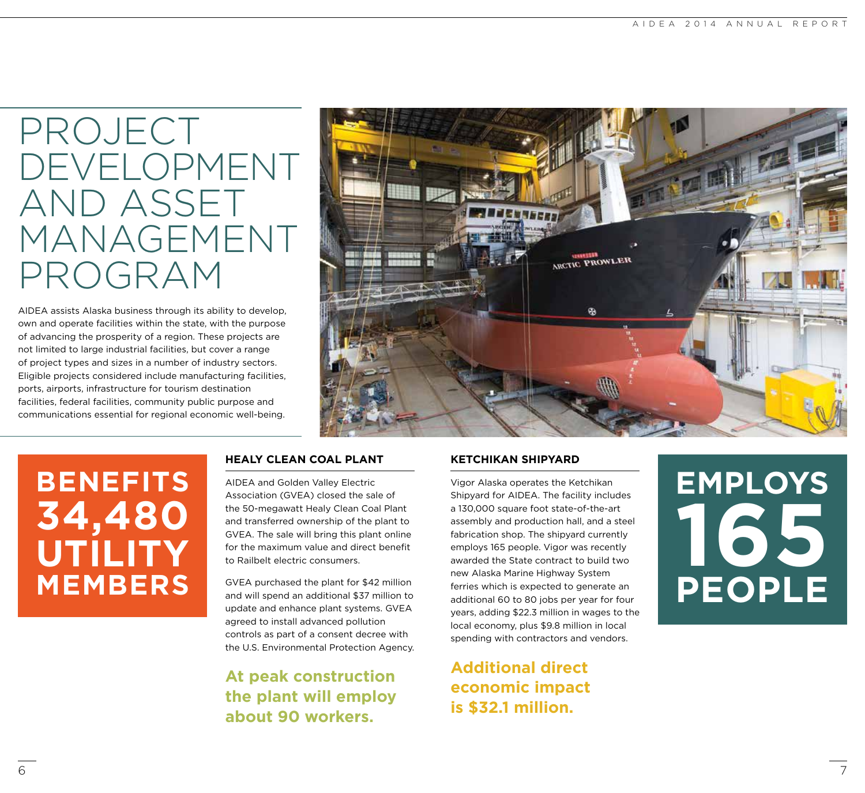### PROJECT DEVELOPMENT AND ASSET MANAGEMENT PROGRAM

AIDEA assists Alaska business through its ability to develop, own and operate facilities within the state, with the purpose of advancing the prosperity of a region. These projects are not limited to large industrial facilities, but cover a range of project types and sizes in a number of industry sectors. Eligible projects considered include manufacturing facilities, ports, airports, infrastructure for tourism destination facilities, federal facilities, community public purpose and communications essential for regional economic well-being.



### **BENEFITS 34,480 UTILITY MEMBERS**

#### **HEALY CLEAN COAL PLANT**

AIDEA and Golden Valley Electric Association (GVEA) closed the sale of the 50-megawatt Healy Clean Coal Plant and transferred ownership of the plant to GVEA. The sale will bring this plant online for the maximum value and direct benefit to Railbelt electric consumers.

GVEA purchased the plant for \$42 million and will spend an additional \$37 million to update and enhance plant systems. GVEA agreed to install advanced pollution controls as part of a consent decree with the U.S. Environmental Protection Agency.

**At peak construction the plant will employ about 90 workers.**

#### **KETCHIKAN SHIPYARD**

Vigor Alaska operates the Ketchikan Shipyard for AIDEA. The facility includes a 130,000 square foot state-of-the-art assembly and production hall, and a steel fabrication shop. The shipyard currently employs 165 people. Vigor was recently awarded the State contract to build two new Alaska Marine Highway System ferries which is expected to generate an additional 60 to 80 jobs per year for four years, adding \$22.3 million in wages to the local economy, plus \$9.8 million in local spending with contractors and vendors.

**Additional direct economic impact is \$32.1 million.**

# **EMPLOYS 165 PEOPLE**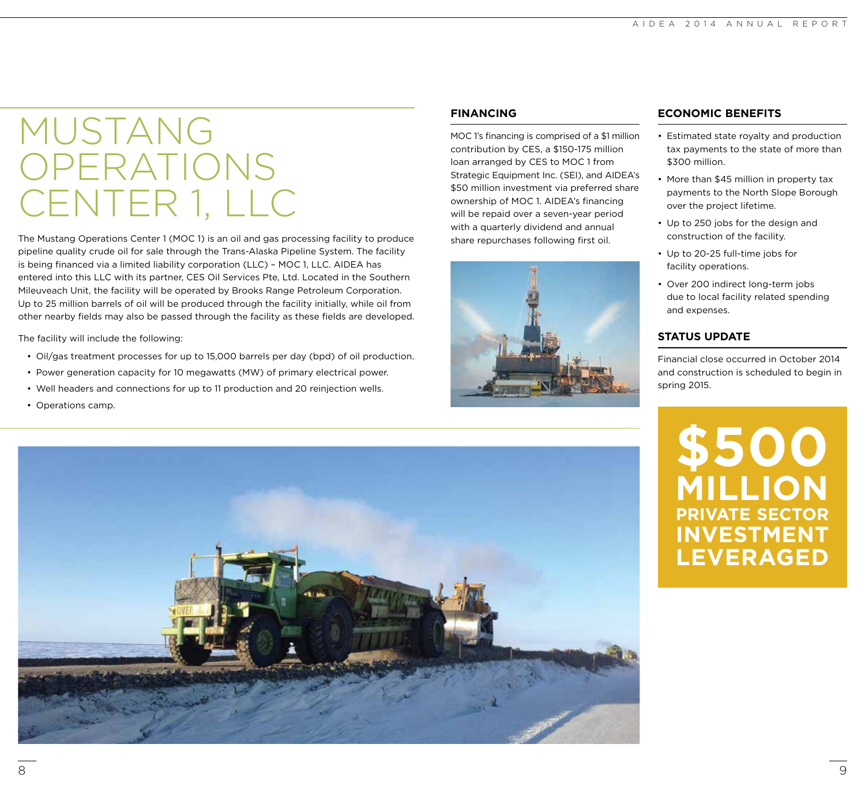### MUSTANG **OPERATIONS** CENTER 1, LLC

The Mustang Operations Center 1 (MOC 1) is an oil and gas processing facility to produce pipeline quality crude oil for sale through the Trans-Alaska Pipeline System. The facility is being financed via a limited liability corporation (LLC) – MOC 1, LLC. AIDEA has entered into this LLC with its partner, CES Oil Services Pte, Ltd. Located in the Southern Mileuveach Unit, the facility will be operated by Brooks Range Petroleum Corporation. Up to 25 million barrels of oil will be produced through the facility initially, while oil from other nearby fields may also be passed through the facility as these fields are developed.

The facility will include the following:

- Oil/gas treatment processes for up to 15,000 barrels per day (bpd) of oil production.
- Power generation capacity for 10 megawatts (MW) of primary electrical power.
- Well headers and connections for up to 11 production and 20 reinjection wells.

#### • Operations camp.

#### **FINANCING**

MOC 1's financing is comprised of a \$1 million contribution by CES, a \$150-175 million loan arranged by CES to MOC 1 from Strategic Equipment Inc. (SEI), and AIDEA's \$50 million investment via preferred share ownership of MOC 1. AIDEA's financing will be repaid over a seven-year period with a quarterly dividend and annual share repurchases following first oil.



#### **ECONOMIC BENEFITS**

- Estimated state royalty and production tax payments to the state of more than \$300 million.
- More than \$45 million in property tax payments to the North Slope Borough over the project lifetime.
- Up to 250 jobs for the design and construction of the facility.
- Up to 20-25 full-time jobs for facility operations.
- Over 200 indirect long-term jobs due to local facility related spending and expenses.

#### **STATUS UPDATE**

Financial close occurred in October 2014 and construction is scheduled to begin in spring 2015.

**\$500 MILLION PRIVATE SECTOR INVESTMENT LEVERAGED**

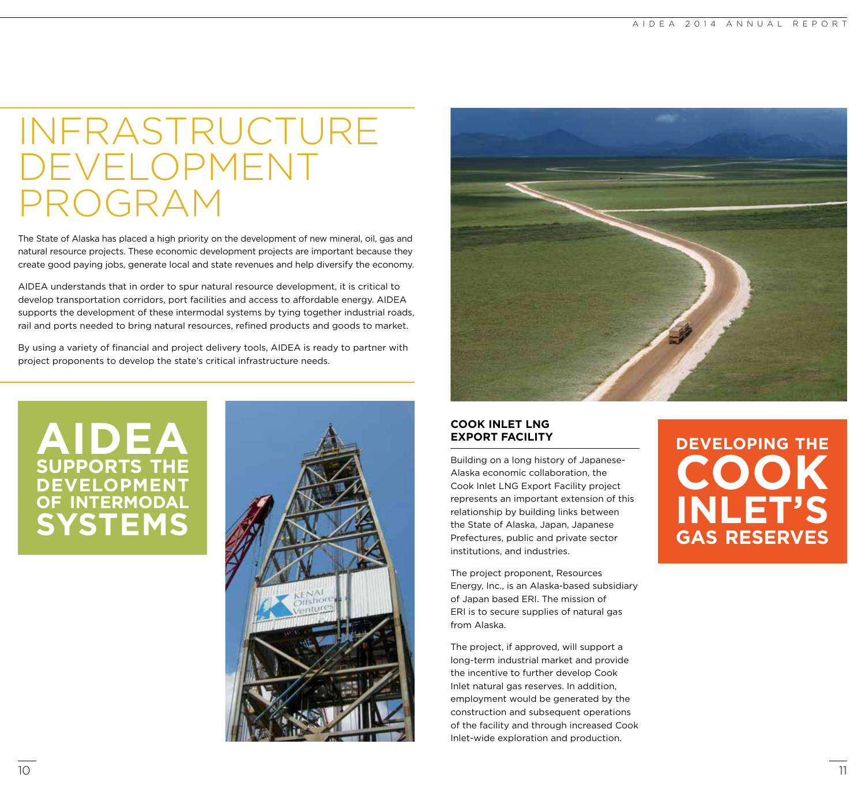### INFRASTRUCTURE DEVELOPMENT PROGRAM

The State of Alaska has placed a high priority on the development of new mineral, oil, gas and natural resource projects. These economic development projects are important because they create good paying jobs, generate local and state revenues and help diversify the economy.

AIDEA understands that in order to spur natural resource development, it is critical to develop transportation corridors, port facilities and access to affordable energy. AIDEA supports the development of these intermodal systems by tying together industrial roads, rail and ports needed to bring natural resources, refined products and goods to market.

By using a variety of financial and project delivery tools, AIDEA is ready to partner with project proponents to develop the state's critical infrastructure needs.

### **AIDEA SUPPORTS THE DEVELOPMENT OF INTERMODAL SYSTEMS**





#### **COOK INLET LNG EXPORT FACILITY**

Building on a long history of Japanese-Alaska economic collaboration, the Cook Inlet LNG Export Facility project represents an important extension of this relationship by building links between the State of Alaska, Japan, Japanese Prefectures, public and private sector institutions, and industries.

The project proponent, Resources Energy, Inc., is an Alaska-based subsidiary of Japan based ERI. The mission of ERI is to secure supplies of natural gas from Alaska.

The project, if approved, will support a long-term industrial market and provide the incentive to further develop Cook Inlet natural gas reserves. In addition, employment would be generated by the construction and subsequent operations of the facility and through increased Cook Inlet-wide exploration and production.

### **DEVELOPING THE COOK INLET'S GAS RESERVES**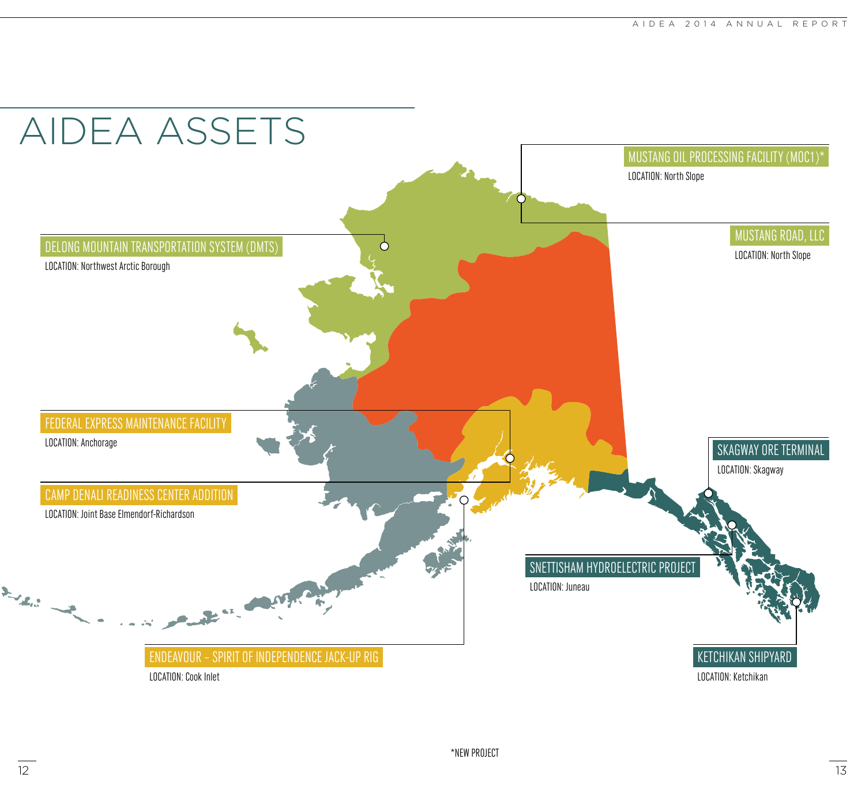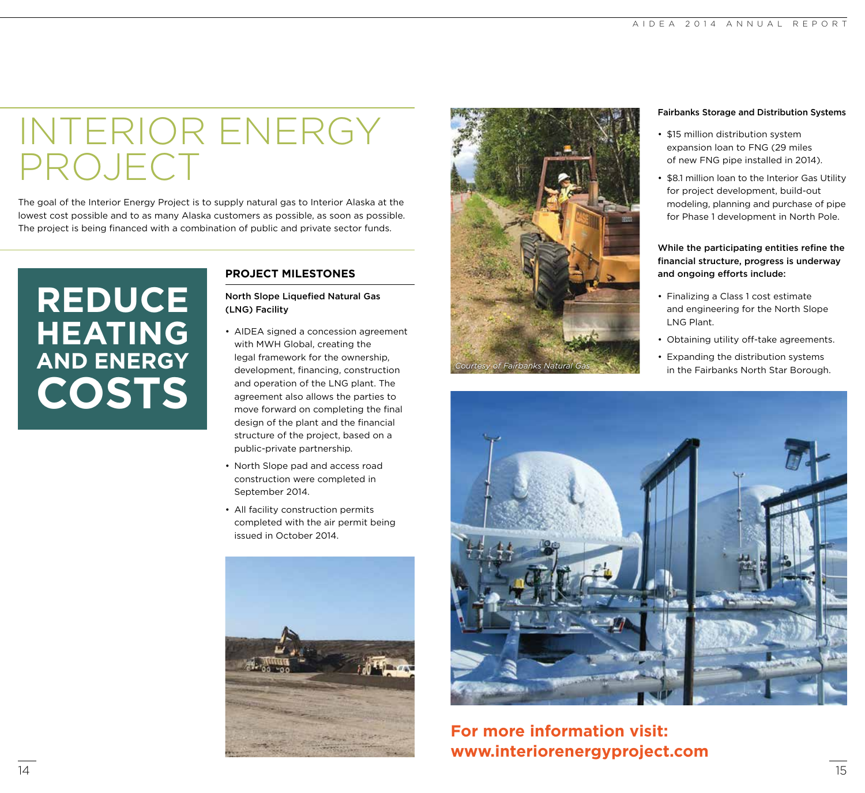### INTERIOR ENERGY PROJECT

The goal of the Interior Energy Project is to supply natural gas to Interior Alaska at the lowest cost possible and to as many Alaska customers as possible, as soon as possible. The project is being financed with a combination of public and private sector funds.

### **REDUCE HEATING AND ENERGY COSTS**

#### **PROJECT MILESTONES**

North Slope Liquefied Natural Gas (LNG) Facility

- AIDEA signed a concession agreement with MWH Global, creating the legal framework for the ownership, development, financing, construction and operation of the LNG plant. The agreement also allows the parties to move forward on completing the final design of the plant and the financial structure of the project, based on a public-private partnership.
- North Slope pad and access road construction were completed in September 2014.
- All facility construction permits completed with the air permit being issued in October 2014.





#### Fairbanks Storage and Distribution Systems

- \$15 million distribution system expansion loan to FNG (29 miles of new FNG pipe installed in 2014).
- \$8.1 million loan to the Interior Gas Utility for project development, build-out modeling, planning and purchase of pipe for Phase 1 development in North Pole.

While the participating entities refine the financial structure, progress is underway and ongoing efforts include:

- Finalizing a Class 1 cost estimate and engineering for the North Slope LNG Plant.
- Obtaining utility off-take agreements.
- Expanding the distribution systems in the Fairbanks North Star Borough.



#### **For more information visit: www.interiorenergyproject.com**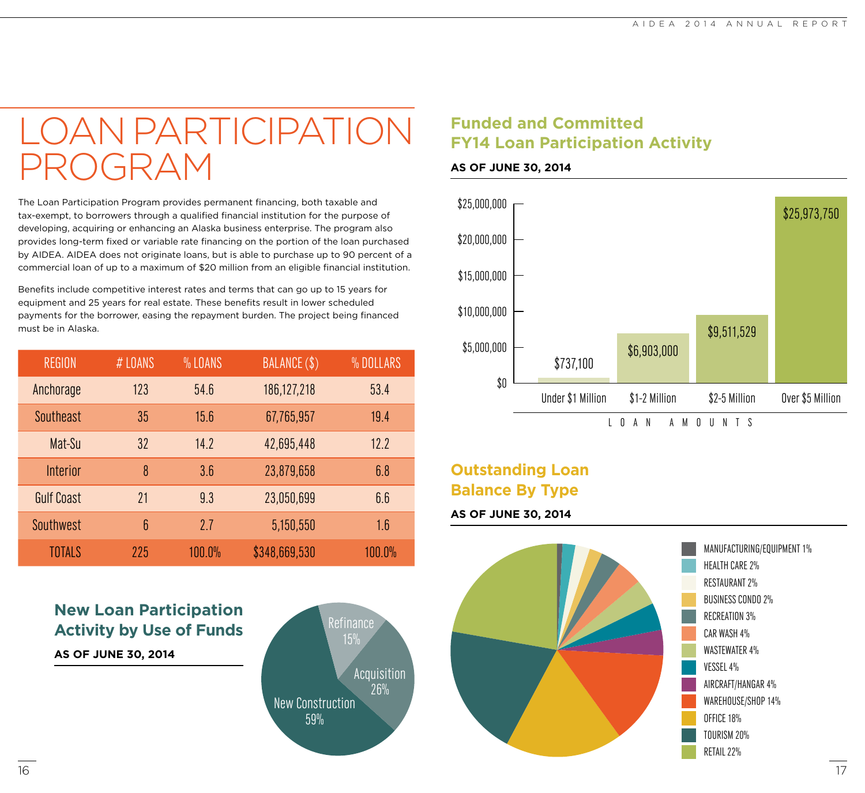### LOAN PARTICIPATION PROGRAM

The Loan Participation Program provides permanent financing, both taxable and tax-exempt, to borrowers through a qualified financial institution for the purpose of developing, acquiring or enhancing an Alaska business enterprise. The program also provides long-term fixed or variable rate financing on the portion of the loan purchased by AIDEA. AIDEA does not originate loans, but is able to purchase up to 90 percent of a commercial loan of up to a maximum of \$20 million from an eligible financial institution.

Benefits include competitive interest rates and terms that can go up to 15 years for equipment and 25 years for real estate. These benefits result in lower scheduled payments for the borrower, easing the repayment burden. The project being financed must be in Alaska.

| <b>REGION</b>     | # LOANS | % LOANS | BALANCE (\$)  | % DOLLARS |
|-------------------|---------|---------|---------------|-----------|
| Anchorage         | 123     | 54.6    | 186,127,218   | 53.4      |
| Southeast         | 35      | 15.6    | 67,765,957    | 19.4      |
| Mat-Su            | 32      | 14.2    | 42,695,448    | 12.2      |
| Interior          | 8       | 3.6     | 23,879,658    | 6.8       |
| <b>Gulf Coast</b> | 21      | 9.3     | 23,050,699    | 6.6       |
| Southwest         | 6       | 2.7     | 5,150,550     | 1.6       |
| TOTALS            | 225     | 100.0%  | \$348,669,530 | $100.0\%$ |

**New Loan Participation Activity by Use of Funds**

**AS OF JUNE 30, 2014**



#### **Funded and Committed FY14 Loan Participation Activity**

#### **AS OF JUNE 30, 2014**



#### **Outstanding Loan Balance By Type**

#### **AS OF JUNE 30, 2014**

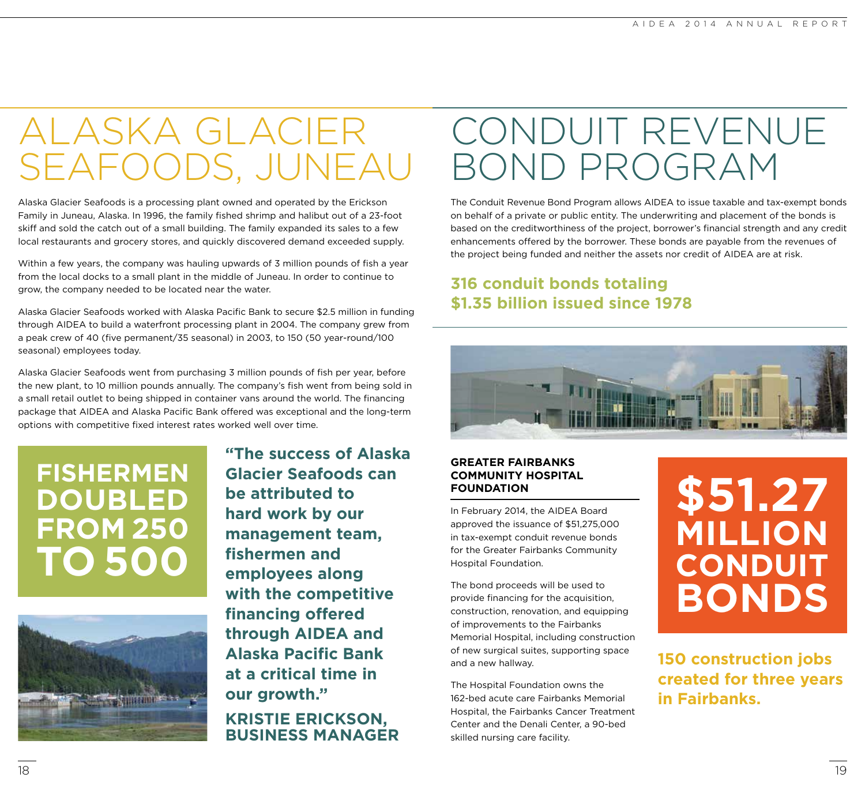### ALASKA GLACIER SEAFOODS, JUNEAU

Alaska Glacier Seafoods is a processing plant owned and operated by the Erickson Family in Juneau, Alaska. In 1996, the family fished shrimp and halibut out of a 23-foot skiff and sold the catch out of a small building. The family expanded its sales to a few local restaurants and grocery stores, and quickly discovered demand exceeded supply.

Within a few years, the company was hauling upwards of 3 million pounds of fish a year from the local docks to a small plant in the middle of Juneau. In order to continue to grow, the company needed to be located near the water.

Alaska Glacier Seafoods worked with Alaska Pacific Bank to secure \$2.5 million in funding through AIDEA to build a waterfront processing plant in 2004. The company grew from a peak crew of 40 (five permanent/35 seasonal) in 2003, to 150 (50 year-round/100 seasonal) employees today.

Alaska Glacier Seafoods went from purchasing 3 million pounds of fish per year, before the new plant, to 10 million pounds annually. The company's fish went from being sold in a small retail outlet to being shipped in container vans around the world. The financing package that AIDEA and Alaska Pacific Bank offered was exceptional and the long-term options with competitive fixed interest rates worked well over time.

### **FISHERMEN DOUBLED FROM 250 TO 500**



**"The success of Alaska Glacier Seafoods can be attributed to hard work by our management team, fishermen and employees along with the competitive financing offered through AIDEA and Alaska Pacific Bank at a critical time in our growth."**

**KRISTIE ERICKSON, BUSINESS MANAGER**

### CONDUIT REVENUE BOND PROGRAM

The Conduit Revenue Bond Program allows AIDEA to issue taxable and tax-exempt bonds on behalf of a private or public entity. The underwriting and placement of the bonds is based on the creditworthiness of the project, borrower's financial strength and any credit enhancements offered by the borrower. These bonds are payable from the revenues of the project being funded and neither the assets nor credit of AIDEA are at risk.

#### **316 conduit bonds totaling \$1.35 billion issued since 1978**



#### **GREATER FAIRBANKS COMMUNITY HOSPITAL FOUNDATION**

In February 2014, the AIDEA Board approved the issuance of \$51,275,000 in tax-exempt conduit revenue bonds for the Greater Fairbanks Community Hospital Foundation.

The bond proceeds will be used to provide financing for the acquisition, construction, renovation, and equipping of improvements to the Fairbanks Memorial Hospital, including construction of new surgical suites, supporting space and a new hallway.

The Hospital Foundation owns the 162-bed acute care Fairbanks Memorial Hospital, the Fairbanks Cancer Treatment Center and the Denali Center, a 90-bed skilled nursing care facility.

### **\$51.27 MILLION CONDUIT BONDS**

**150 construction jobs created for three years in Fairbanks.**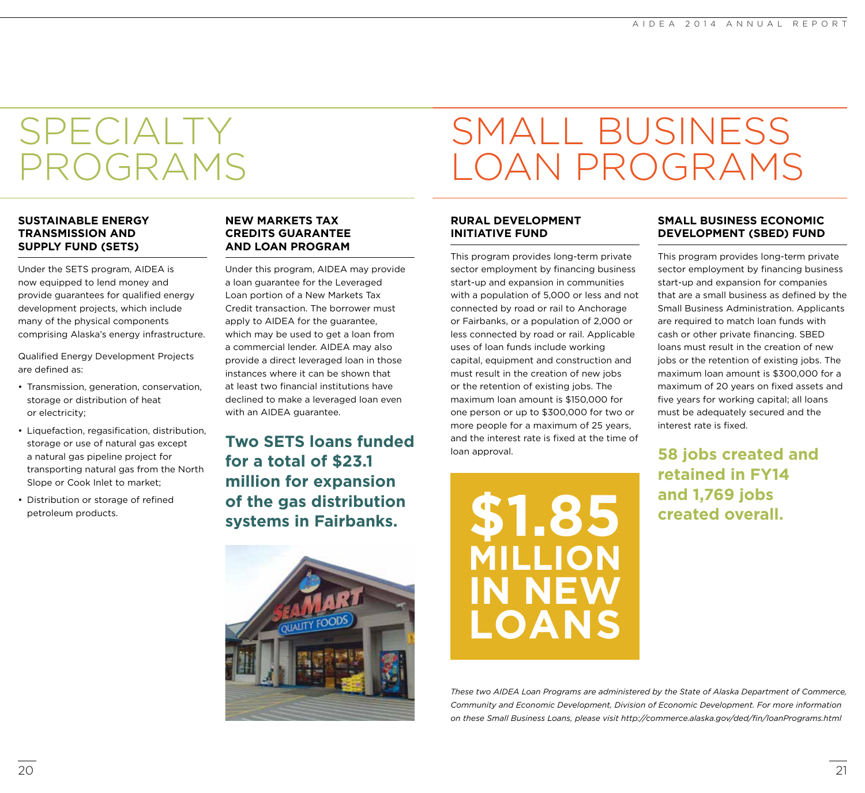### SPECIALTY PROGRAMS

#### **SUSTAINABLE ENERGY TRANSMISSION AND SUPPLY FUND (SETS)**

Under the SETS program, AIDEA is now equipped to lend money and provide guarantees for qualified energy development projects, which include many of the physical components comprising Alaska's energy infrastructure.

Qualified Energy Development Projects are defined as:

- Transmission, generation, conservation, storage or distribution of heat or electricity;
- Liquefaction, regasification, distribution, storage or use of natural gas except a natural gas pipeline project for transporting natural gas from the North Slope or Cook Inlet to market;
- Distribution or storage of refined petroleum products.

#### **NEW MARKETS TAX CREDITS GUARANTEE AND LOAN PROGRAM**

Under this program, AIDEA may provide a loan guarantee for the Leveraged Loan portion of a New Markets Tax Credit transaction. The borrower must apply to AIDEA for the guarantee, which may be used to get a loan from a commercial lender. AIDEA may also provide a direct leveraged loan in those instances where it can be shown that at least two financial institutions have declined to make a leveraged loan even with an AIDEA guarantee.

**Two SETS loans funded for a total of \$23.1 million for expansion of the gas distribution systems in Fairbanks.**



## SMALL BUSINESS LOAN PROGRAMS

#### **RURAL DEVELOPMENT INITIATIVE FUND**

This program provides long-term private sector employment by financing business start-up and expansion in communities with a population of 5,000 or less and not connected by road or rail to Anchorage or Fairbanks, or a population of 2,000 or less connected by road or rail. Applicable uses of loan funds include working capital, equipment and construction and must result in the creation of new jobs or the retention of existing jobs. The maximum loan amount is \$150,000 for one person or up to \$300,000 for two or more people for a maximum of 25 years, and the interest rate is fixed at the time of loan approval.



#### **SMALL BUSINESS ECONOMIC DEVELOPMENT (SBED) FUND**

This program provides long-term private sector employment by financing business start-up and expansion for companies that are a small business as defined by the Small Business Administration. Applicants are required to match loan funds with cash or other private financing. SBED loans must result in the creation of new jobs or the retention of existing jobs. The maximum loan amount is \$300,000 for a maximum of 20 years on fixed assets and five years for working capital; all loans must be adequately secured and the interest rate is fixed.

**58 jobs created and retained in FY14 and 1,769 jobs created overall.**

*These two AIDEA Loan Programs are administered by the State of Alaska Department of Commerce, Community and Economic Development, Division of Economic Development. For more information on these Small Business Loans, please visit http://commerce.alaska.gov/ded/fin/loanPrograms.html*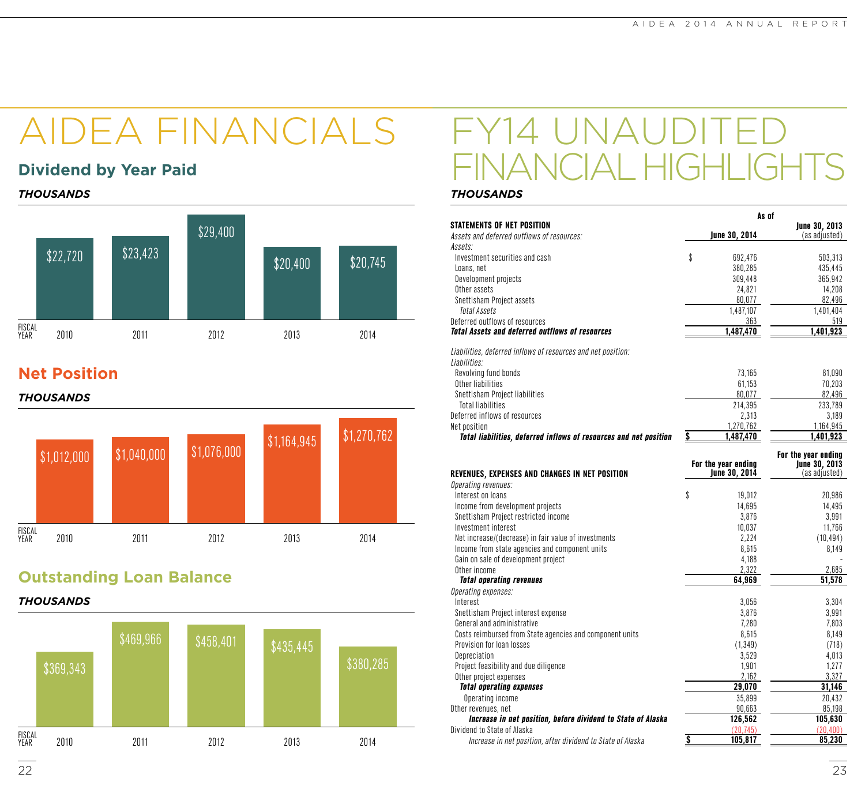# AIDEA FINANCIALS FY14

#### **Dividend by Year Paid**

*THOUSANDS THOUSANDS*



#### **Net Position**

#### *THOUSANDS*



#### **Outstanding Loan Balance**

#### *THOUSANDS*



# ANCIAL HIGHLIGHTS

|                                                                   | As of                              |                      |
|-------------------------------------------------------------------|------------------------------------|----------------------|
| <b>STATEMENTS OF NET POSITION</b>                                 |                                    | <b>June 30, 2013</b> |
| Assets and deferred outflows of resources:                        | June 30, 2014                      | (as adjusted)        |
| Assets:                                                           |                                    |                      |
| Investment securities and cash                                    | \$<br>692,476                      | 503,313              |
| Loans, net                                                        | 380,285                            | 435,445              |
| Development projects                                              | 309,448                            | 365,942              |
| Other assets                                                      | 24,821                             | 14,208               |
| Snettisham Project assets                                         | 80,077                             | 82,496               |
| Total Assets                                                      | 1,487,107                          | 1,401,404            |
| Deferred outflows of resources                                    | 363                                | 519                  |
| <b>Total Assets and deferred outflows of resources</b>            | 1,487,470                          | 1,401,923            |
| Liabilities, deferred inflows of resources and net position:      |                                    |                      |
| Liabilities:                                                      |                                    |                      |
| Revolving fund bonds                                              | 73,165                             | 81,090               |
| Other liabilities                                                 | 61,153                             | 70,203               |
| Snettisham Project liabilities                                    | 80,077                             | 82,496               |
| <b>Total liabilities</b>                                          | 214,395                            | 233,789              |
| Deferred inflows of resources                                     | 2,313                              | 3,189                |
| Net position                                                      | 1,270,762                          | 1,164,945            |
| Total liabilities, deferred inflows of resources and net position | \$<br>1,487,470                    | 1,401,923            |
|                                                                   |                                    | For the year ending  |
|                                                                   | For the year ending                | <b>June 30, 2013</b> |
| REVENUES, EXPENSES AND CHANGES IN NET POSITION                    | <b>June 30, 2014</b>               | (as adjusted)        |
| Operating revenues:                                               |                                    |                      |
| Interest on loans                                                 | \$<br>19,012                       | 20,986               |
| Income from development projects                                  | 14,695                             | 14,495               |
| Snettisham Project restricted income                              | 3,876                              | 3,991                |
| Investment interest                                               | 10,037                             | 11,766               |
| Net increase/(decrease) in fair value of investments              | 2,224                              | (10, 494)            |
| Income from state agencies and component units                    | 8,615                              | 8,149                |
| Gain on sale of development project                               | 4,188                              |                      |
| Other income                                                      | 2,322                              | 2,685                |
| <b>Total operating revenues</b>                                   | 64,969                             | 51,578               |
| Operating expenses:                                               |                                    |                      |
| Interest                                                          | 3,056                              | 3,304                |
| Snettisham Project interest expense                               | 3,876                              | 3,991                |
| General and administrative                                        | 7,280                              | 7,803                |
| Costs reimbursed from State agencies and component units          | 8,615                              | 8,149                |
| Provision for loan losses                                         | (1, 349)                           | (718)                |
| Depreciation                                                      | 3,529                              | 4,013                |
| Project feasibility and due diligence                             | 1,901                              | 1,277                |
| Other project expenses                                            | 2,162                              | 3,327                |
| <b>Total operating expenses</b>                                   | 29,070                             | 31,146               |
| Operating income                                                  | 35,899                             | 20,432               |
| Other revenues, net                                               | 90,663                             | 85,198               |
| Increase in net position, before dividend to State of Alaska      |                                    | 105,630              |
|                                                                   | 126,562<br>(20, 745)               |                      |
| Dividend to State of Alaska                                       |                                    | (20, 400)            |
| Increase in net position, after dividend to State of Alaska       | $\overline{\mathbf{s}}$<br>105,817 | 85,230               |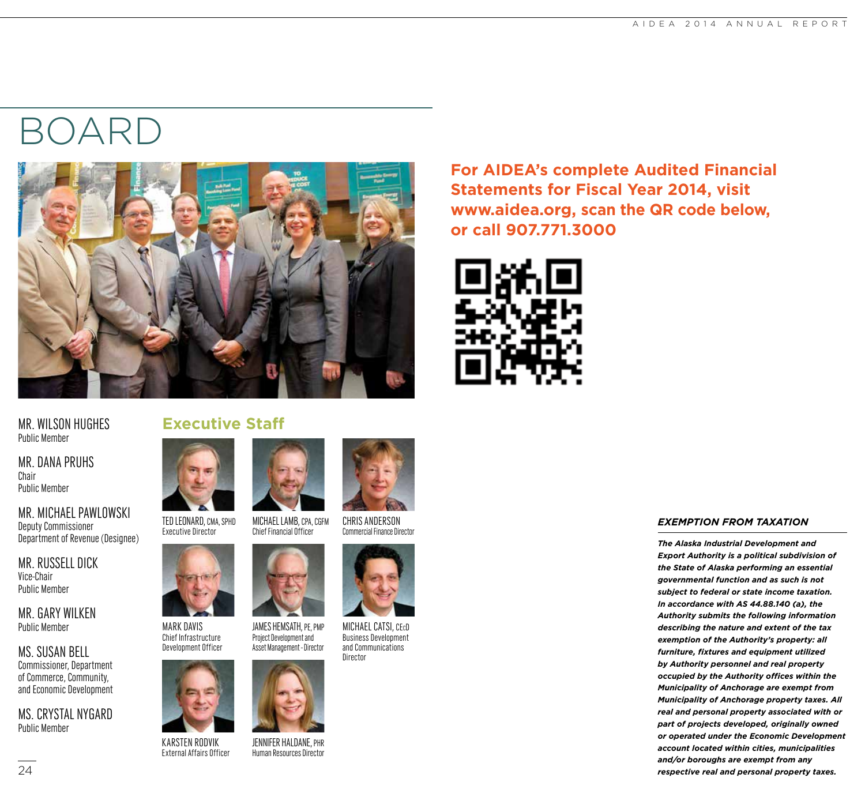## BOARD



MR. WILSON HUGHES Public Member

MR. DANA PRUHS Chair Public Member

MR. MICHAEL PAWLOWSKI Deputy Commissioner Department of Revenue (Designee)

MR. RUSSELL DICK Vice-Chair Public Member

MR. GARY WILKEN Public Member

MS. SUSAN BELL Commissioner, Department of Commerce, Community, and Economic Development

MS. CRYSTAL NYGARD Public Member



TED LEONARD, CMA, SPHD Executive Director



MARK DAVIS Chief Infrastructure Development Officer



JENNIFER HALDANE, PHR Human Resources Director

KARSTEN RODVIK External Affairs Officer



MICHAEL LAMB, CPA, CGFM Chief Financial Officer CHRIS ANDERSON Commercial Finance Director



MICHAEL CATSI, CEcD Business Development and Communications





# **www.aidea.org, scan the QR code below, or call 907.771.3000**

**For AIDEA's complete Audited Financial** 

**Statements for Fiscal Year 2014, visit** 



#### *EXEMPTION FROM TAXATION*

*The Alaska Industrial Development and Export Authority is a political subdivision of the State of Alaska performing an essential governmental function and as such is not subject to federal or state income taxation. In accordance with AS 44.88.140 (a), the Authority submits the following information describing the nature and extent of the tax exemption of the Authority's property: all furniture, fixtures and equipment utilized by Authority personnel and real property occupied by the Authority offices within the Municipality of Anchorage are exempt from Municipality of Anchorage property taxes. All real and personal property associated with or part of projects developed, originally owned or operated under the Economic Development account located within cities, municipalities and/or boroughs are exempt from any respective real and personal property taxes.*